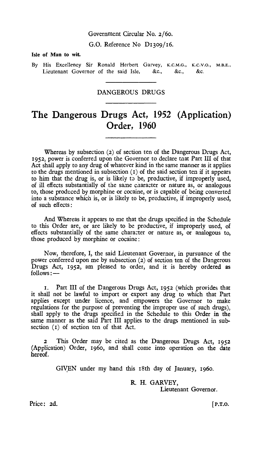#### Government Circular No. 2/6o.

G.O. Reference No D13o9/16.

#### **Isle of Man to wit.**

By His Excellency Sir Ronald Herbert Garvey, K.C.M.G., K.C.V.O., M.B.E., Lieutenant Governor of the said Isle, &c., &c., &c.

## DANGEROUS DRUGS

# **The Dangerous Drugs Act, 1952 (Application) Order, 1960**

Whereas by subsection (2) of section ten of the Dangerous Drugs Act, 1952, power is conferred upon the Governor to declare that Part III of that Act shall apply to any drug of whatever kind in the same manner as it applies to the drugs mentioned in subsection  $(1)$  of the said section ten if it appears to him that the drug is, or is likely to be, productive, if improperly used, of ill effects substantially of the same character or nature as, or analogous to, those produced by morphine or cocaine, or is capable of being converted into a substance which is, or is likely to be, productive, if improperly used, of such effects:

And Whereas it appears to me that the drugs specified in the Schedule to this Order are, or are likely to be productive, if improperly used, of effects substantially of the same character or nature as, or analogous to, those produced by morphine or cocaine:

Now, therefore, I, the said Lieutenant Governor, in pursuance of the power conferred upon me by subsection (2) of section ten of the Dangerous Drugs Act, 1952, am pleased to order, and it is hereby ordered as follows : —

t. Part III of the Dangerous Drugs Act, 1952 (which provides that it shall not be lawful to import or export any drug to which that Part applies except under licence, and empowers the Governor to make regulations for the purpose of preventing the improper use of such drugs), shall apply to the drugs specified in the Schedule to this Order in the same manner as the said Part III applies to the drugs mentioned in subsection (1) of section ten of that Act.

**2** This Order may be cited as the Dangerous Drugs Act, 1952 (Application) Order, 196o, and shall come into operation on the date hereof.

GIVEN under my hand this 18th day of January, 196o.

R. H. GARVEY, Lieutenant Governor.

Price: 2d.

 $[$  P.T.O.